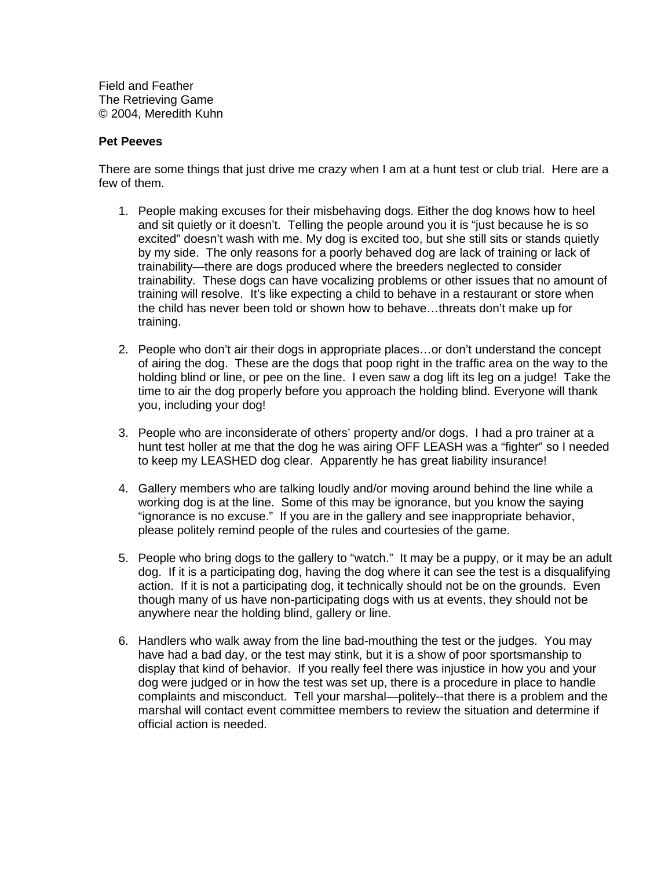Field and Feather The Retrieving Game © 2004, Meredith Kuhn

## **Pet Peeves**

There are some things that just drive me crazy when I am at a hunt test or club trial. Here are a few of them.

- 1. People making excuses for their misbehaving dogs. Either the dog knows how to heel and sit quietly or it doesn't. Telling the people around you it is "just because he is so excited" doesn't wash with me. My dog is excited too, but she still sits or stands quietly by my side. The only reasons for a poorly behaved dog are lack of training or lack of trainability—there are dogs produced where the breeders neglected to consider trainability. These dogs can have vocalizing problems or other issues that no amount of training will resolve. It's like expecting a child to behave in a restaurant or store when the child has never been told or shown how to behave…threats don't make up for training.
- 2. People who don't air their dogs in appropriate places…or don't understand the concept of airing the dog. These are the dogs that poop right in the traffic area on the way to the holding blind or line, or pee on the line. I even saw a dog lift its leg on a judge! Take the time to air the dog properly before you approach the holding blind. Everyone will thank you, including your dog!
- 3. People who are inconsiderate of others' property and/or dogs. I had a pro trainer at a hunt test holler at me that the dog he was airing OFF LEASH was a "fighter" so I needed to keep my LEASHED dog clear. Apparently he has great liability insurance!
- 4. Gallery members who are talking loudly and/or moving around behind the line while a working dog is at the line. Some of this may be ignorance, but you know the saying "ignorance is no excuse." If you are in the gallery and see inappropriate behavior, please politely remind people of the rules and courtesies of the game.
- 5. People who bring dogs to the gallery to "watch." It may be a puppy, or it may be an adult dog. If it is a participating dog, having the dog where it can see the test is a disqualifying action. If it is not a participating dog, it technically should not be on the grounds. Even though many of us have non-participating dogs with us at events, they should not be anywhere near the holding blind, gallery or line.
- 6. Handlers who walk away from the line bad-mouthing the test or the judges. You may have had a bad day, or the test may stink, but it is a show of poor sportsmanship to display that kind of behavior. If you really feel there was injustice in how you and your dog were judged or in how the test was set up, there is a procedure in place to handle complaints and misconduct. Tell your marshal—politely--that there is a problem and the marshal will contact event committee members to review the situation and determine if official action is needed.